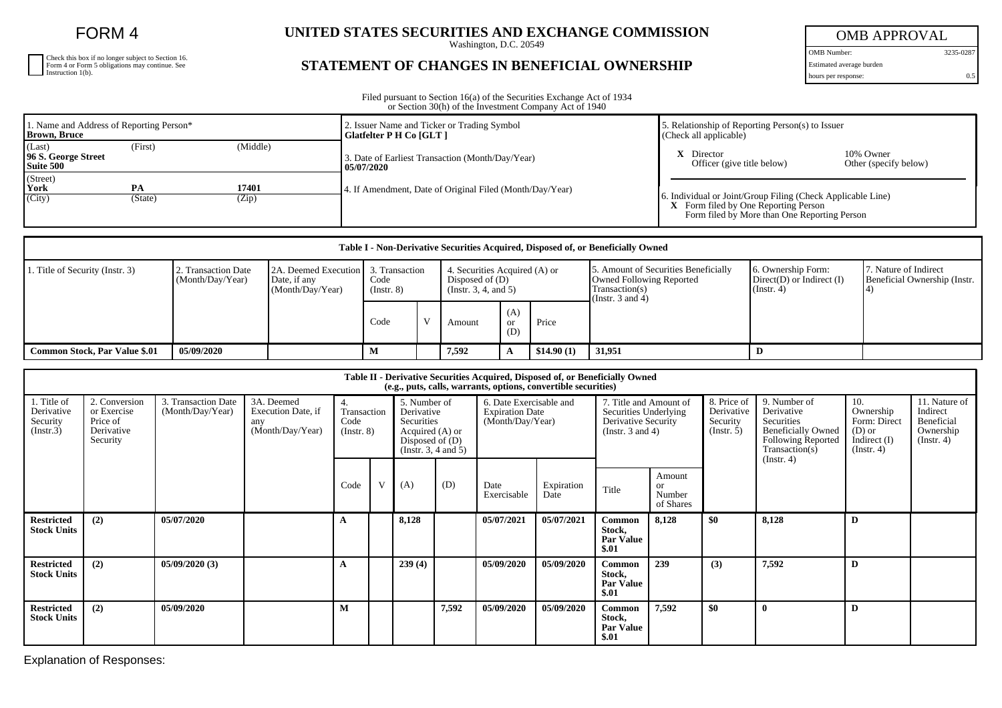FORM 4

| Check this box if no longer subject to Section 16.<br>Form 4 or Form 5 obligations may continue. See Instruction 1(b). |
|------------------------------------------------------------------------------------------------------------------------|
|                                                                                                                        |
|                                                                                                                        |

## UNITED STATES SECURITIES AND EXCHANGE COMMISSION

## **STATEMENT OF CHANGES IN BENEFICIAL OWNERSHIP**

OMB APPROVAL

OMB Number: 3235-0287 Estimated average burden

hours per response: 0.5

Filed pursuant to Section 16(a) of the Securities Exchange Act of 1934 or Section 30(h) of the Investment Company Act of 1940

| 1. Name and Address of Reporting Person*<br><b>Brown, Bruce</b> |               |                | 2. Issuer Name and Ticker or Trading Symbol<br>Glatfelter P H Co [GLT] | . Relationship of Reporting Person(s) to Issuer<br>(Check all applicable)                                                                           |  |  |  |
|-----------------------------------------------------------------|---------------|----------------|------------------------------------------------------------------------|-----------------------------------------------------------------------------------------------------------------------------------------------------|--|--|--|
| (Last)<br>96 S. George Street<br>Suite 500                      | (First)       | (Middle)       | 3. Date of Earliest Transaction (Month/Day/Year)<br>  05/07/2020       | <b>X</b> Director<br>10% Owner<br>Officer (give title below)<br>Other (specify below)                                                               |  |  |  |
| (Street)<br>$\gamma$ York<br>(City)                             | PA<br>(State) | 17401<br>(Zip) | 4. If Amendment, Date of Original Filed (Month/Day/Year)               | 6. Individual or Joint/Group Filing (Check Applicable Line)<br>X Form filed by One Reporting Person<br>Form filed by More than One Reporting Person |  |  |  |

| Table I - Non-Derivative Securities Acquired, Disposed of, or Beneficially Owned |                                        |                                                                         |                         |  |                                                                          |                             |            |                                                                                                             |                                                                         |                                                       |  |
|----------------------------------------------------------------------------------|----------------------------------------|-------------------------------------------------------------------------|-------------------------|--|--------------------------------------------------------------------------|-----------------------------|------------|-------------------------------------------------------------------------------------------------------------|-------------------------------------------------------------------------|-------------------------------------------------------|--|
| 1. Title of Security (Instr. 3)                                                  | . Transaction Date<br>(Month/Day/Year) | 2A. Deemed Execution 3. Transaction<br>Date, if any<br>(Month/Day/Year) | Code<br>$($ Instr. $8)$ |  | 4. Securities Acquired (A) or<br>Disposed of (D)<br>(Instr. 3, 4, and 5) |                             |            | 5. Amount of Securities Beneficially<br>Owned Following Reported<br>Transaction(s)<br>(Instr. $3$ and $4$ ) | 6. Ownership Form:<br>$Direct(D)$ or Indirect $(I)$<br>$($ Instr. 4 $)$ | 7. Nature of Indirect<br>Beneficial Ownership (Instr. |  |
|                                                                                  |                                        |                                                                         | Code                    |  | Amount                                                                   | (A)<br><sub>or</sub><br>(D) | Price      |                                                                                                             |                                                                         |                                                       |  |
| <b>Common Stock, Par Value \$.01</b>                                             | 05/09/2020                             |                                                                         | М                       |  | 7,592                                                                    |                             | \$14.90(1) | 31,951                                                                                                      |                                                                         |                                                       |  |

| Table II - Derivative Securities Acquired, Disposed of, or Beneficially Owned<br>(e.g., puts, calls, warrants, options, convertible securities) |                                                                    |                                         |                                                             |                                              |   |                                                                                                          |       |                                                                       |                    |                                                                                                 |                                            |                                                      |                                                                                                                                     |                                                                                    |                                                                          |
|-------------------------------------------------------------------------------------------------------------------------------------------------|--------------------------------------------------------------------|-----------------------------------------|-------------------------------------------------------------|----------------------------------------------|---|----------------------------------------------------------------------------------------------------------|-------|-----------------------------------------------------------------------|--------------------|-------------------------------------------------------------------------------------------------|--------------------------------------------|------------------------------------------------------|-------------------------------------------------------------------------------------------------------------------------------------|------------------------------------------------------------------------------------|--------------------------------------------------------------------------|
| 1. Title of<br>Derivative<br>Security<br>(Insert.3)                                                                                             | 2. Conversion<br>or Exercise<br>Price of<br>Derivative<br>Security | 3. Transaction Date<br>(Month/Day/Year) | 3A. Deemed<br>Execution Date, if<br>any<br>(Month/Day/Year) | 4.<br>Transaction<br>Code<br>$($ Instr. $8)$ |   | 5. Number of<br>Derivative<br>Securities<br>Acquired (A) or<br>Disposed of $(D)$<br>(Insert. 3, 4 and 5) |       | 6. Date Exercisable and<br><b>Expiration Date</b><br>(Month/Day/Year) |                    | 7. Title and Amount of<br>Securities Underlying<br>Derivative Security<br>(Instr. $3$ and $4$ ) |                                            | 8. Price of<br>Derivative<br>Security<br>(Insert. 5) | 9. Number of<br>Derivative<br>Securities<br><b>Beneficially Owned</b><br><b>Following Reported</b><br>Transaction(s)<br>(Insert. 4) | 10.<br>Ownership<br>Form: Direct<br>$(D)$ or<br>Indirect $(I)$<br>$($ Instr. 4 $)$ | 11. Nature of<br>Indirect<br>Beneficial<br>Ownership<br>$($ Instr. 4 $)$ |
|                                                                                                                                                 |                                                                    |                                         |                                                             | Code                                         | V | (A)                                                                                                      | (D)   | Date<br>Exercisable                                                   | Expiration<br>Date | Title                                                                                           | Amount<br><b>or</b><br>Number<br>of Shares |                                                      |                                                                                                                                     |                                                                                    |                                                                          |
| <b>Restricted</b><br><b>Stock Units</b>                                                                                                         | (2)                                                                | 05/07/2020                              |                                                             | $\overline{ }$                               |   | 8,128                                                                                                    |       | 05/07/2021                                                            | 05/07/2021         | Common<br>Stock,<br><b>Par Value</b><br>\$.01                                                   | 8,128                                      | \$0                                                  | 8,128                                                                                                                               | D                                                                                  |                                                                          |
| <b>Restricted</b><br><b>Stock Units</b>                                                                                                         | (2)                                                                | 05/09/2020(3)                           |                                                             | A                                            |   | 239(4)                                                                                                   |       | 05/09/2020                                                            | 05/09/2020         | Common<br>Stock.<br><b>Par Value</b><br>\$.01                                                   | 239                                        | (3)                                                  | 7,592                                                                                                                               | D                                                                                  |                                                                          |
| <b>Restricted</b><br><b>Stock Units</b>                                                                                                         | (2)                                                                | 05/09/2020                              |                                                             | М                                            |   |                                                                                                          | 7,592 | 05/09/2020                                                            | 05/09/2020         | Common<br>Stock,<br><b>Par Value</b><br>\$.01                                                   | 7,592                                      | \$0                                                  | $\theta$                                                                                                                            | D                                                                                  |                                                                          |

Explanation of Responses: